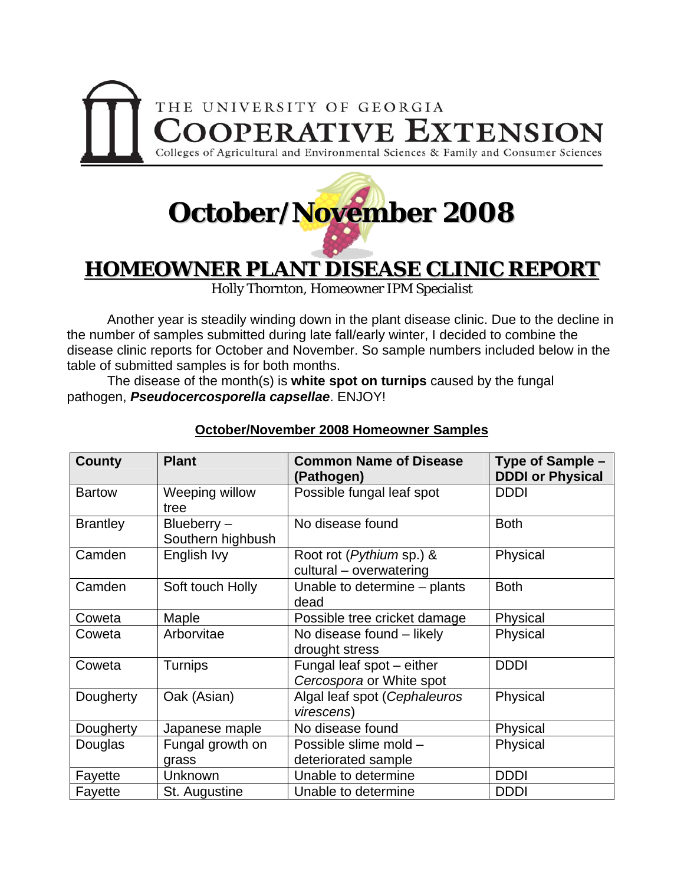

## **October/November 2008**

## **HOMEOWNER PLANT DISEASE CLINIC REPORT**

Holly Thornton, Homeowner IPM Specialist

 Another year is steadily winding down in the plant disease clinic. Due to the decline in the number of samples submitted during late fall/early winter, I decided to combine the disease clinic reports for October and November. So sample numbers included below in the table of submitted samples is for both months.

The disease of the month(s) is **white spot on turnips** caused by the fungal pathogen, *Pseudocercosporella capsellae*. ENJOY!

| <b>County</b>   | <b>Plant</b>                    | <b>Common Name of Disease</b><br>(Pathogen)                 | Type of Sample -<br><b>DDDI or Physical</b> |
|-----------------|---------------------------------|-------------------------------------------------------------|---------------------------------------------|
| <b>Bartow</b>   | Weeping willow<br>tree          | Possible fungal leaf spot                                   | <b>DDDI</b>                                 |
| <b>Brantley</b> | Blueberry-<br>Southern highbush | No disease found                                            | <b>Both</b>                                 |
| Camden          | English Ivy                     | Root rot ( <i>Pythium</i> sp.) &<br>cultural - overwatering | Physical                                    |
| Camden          | Soft touch Holly                | Unable to determine – plants<br>dead                        | <b>Both</b>                                 |
| Coweta          | Maple                           | Possible tree cricket damage                                | Physical                                    |
| Coweta          | Arborvitae                      | No disease found - likely<br>drought stress                 | Physical                                    |
| Coweta          | <b>Turnips</b>                  | Fungal leaf spot - either<br>Cercospora or White spot       | <b>DDDI</b>                                 |
| Dougherty       | Oak (Asian)                     | Algal leaf spot (Cephaleuros<br>virescens)                  | Physical                                    |
| Dougherty       | Japanese maple                  | No disease found                                            | Physical                                    |
| Douglas         | Fungal growth on                | Possible slime mold -                                       | Physical                                    |
|                 | grass                           | deteriorated sample                                         |                                             |
| Fayette         | Unknown                         | Unable to determine                                         | <b>DDDI</b>                                 |
| Fayette         | St. Augustine                   | Unable to determine                                         | <b>DDDI</b>                                 |

## **October/November 2008 Homeowner Samples**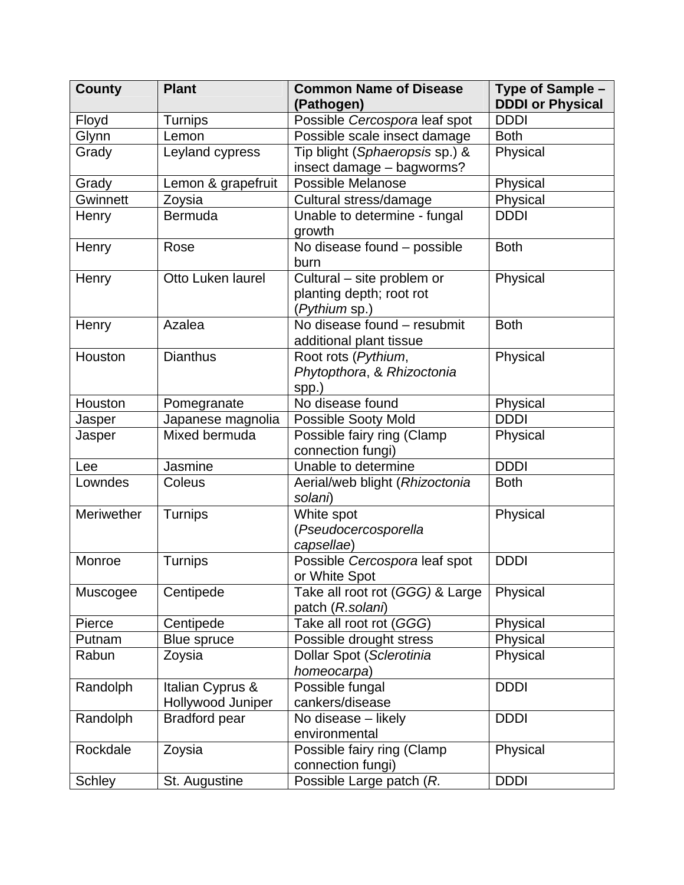| <b>County</b> | <b>Plant</b>         | <b>Common Name of Disease</b><br>(Pathogen)         | Type of Sample -<br><b>DDDI or Physical</b> |
|---------------|----------------------|-----------------------------------------------------|---------------------------------------------|
| Floyd         | <b>Turnips</b>       | Possible Cercospora leaf spot                       | <b>DDDI</b>                                 |
| Glynn         | Lemon                | Possible scale insect damage                        | <b>Both</b>                                 |
| Grady         | Leyland cypress      | Tip blight (Sphaeropsis sp.) &                      | Physical                                    |
|               |                      | insect damage - bagworms?                           |                                             |
| Grady         | Lemon & grapefruit   | Possible Melanose                                   | Physical                                    |
| Gwinnett      | Zoysia               | Cultural stress/damage                              | Physical                                    |
| Henry         | Bermuda              | Unable to determine - fungal                        | <b>DDDI</b>                                 |
|               |                      | growth                                              |                                             |
| Henry         | Rose                 | No disease found - possible<br>burn                 | <b>Both</b>                                 |
| Henry         | Otto Luken laurel    | Cultural - site problem or                          | Physical                                    |
|               |                      | planting depth; root rot                            |                                             |
|               |                      | (Pythium sp.)                                       |                                             |
| Henry         | Azalea               | No disease found - resubmit                         | <b>Both</b>                                 |
|               |                      | additional plant tissue                             |                                             |
| Houston       | <b>Dianthus</b>      | Root rots (Pythium,                                 | Physical                                    |
|               |                      | Phytopthora, & Rhizoctonia                          |                                             |
|               |                      | spp.)                                               |                                             |
| Houston       | Pomegranate          | No disease found                                    | Physical                                    |
| Jasper        | Japanese magnolia    | <b>Possible Sooty Mold</b>                          | <b>DDDI</b>                                 |
| Jasper        | Mixed bermuda        | Possible fairy ring (Clamp                          | Physical                                    |
|               |                      | connection fungi)                                   |                                             |
| Lee           | Jasmine              | Unable to determine                                 | <b>DDDI</b>                                 |
| Lowndes       | Coleus               | Aerial/web blight (Rhizoctonia                      | <b>Both</b>                                 |
|               |                      | solani)                                             |                                             |
| Meriwether    | Turnips              | White spot                                          | Physical                                    |
|               |                      | (Pseudocercosporella                                |                                             |
|               |                      | capsellae)                                          |                                             |
| Monroe        | Turnips              | Possible Cercospora leaf spot                       | <b>DDDI</b>                                 |
|               |                      | or White Spot                                       |                                             |
| Muscogee      | Centipede            | Take all root rot (GGG) & Large<br>patch (R.solani) | Physical                                    |
| Pierce        | Centipede            | Take all root rot (GGG)                             | Physical                                    |
| Putnam        | Blue spruce          | Possible drought stress                             | Physical                                    |
| Rabun         | Zoysia               | Dollar Spot (Sclerotinia                            | Physical                                    |
|               |                      | homeocarpa)                                         |                                             |
| Randolph      | Italian Cyprus &     | Possible fungal                                     | <b>DDDI</b>                                 |
|               | Hollywood Juniper    | cankers/disease                                     |                                             |
| Randolph      | <b>Bradford pear</b> | No disease - likely                                 | <b>DDDI</b>                                 |
|               |                      | environmental                                       |                                             |
| Rockdale      | Zoysia               | Possible fairy ring (Clamp                          | Physical                                    |
|               |                      | connection fungi)                                   |                                             |
| Schley        | St. Augustine        | Possible Large patch (R.                            | <b>DDDI</b>                                 |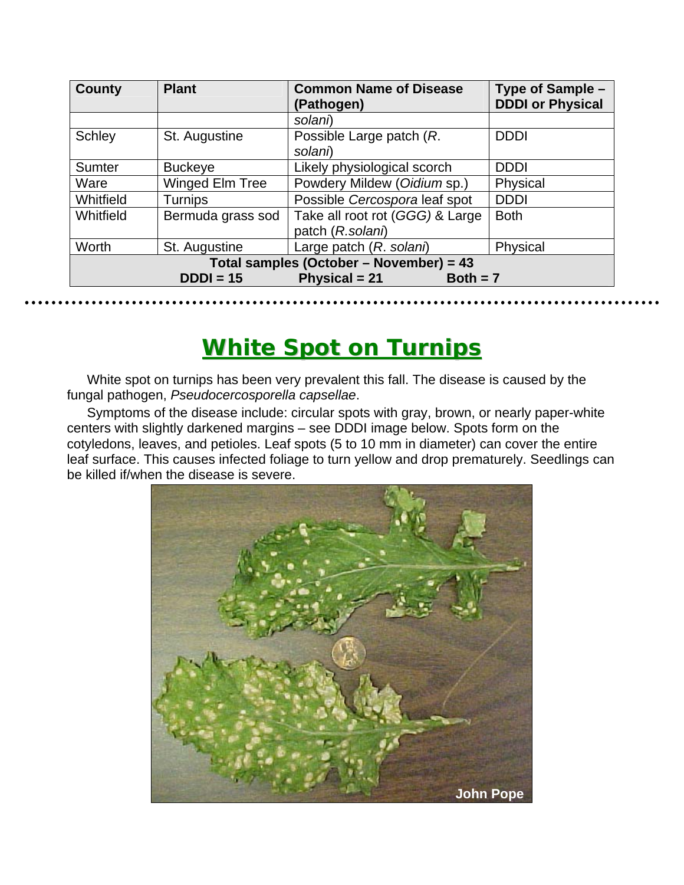| County                                            | <b>Plant</b>      | <b>Common Name of Disease</b><br>(Pathogen)         | Type of Sample -<br><b>DDDI or Physical</b> |  |  |
|---------------------------------------------------|-------------------|-----------------------------------------------------|---------------------------------------------|--|--|
|                                                   |                   | solani)                                             |                                             |  |  |
| <b>Schley</b>                                     | St. Augustine     | Possible Large patch (R.<br>solani)                 | <b>DDDI</b>                                 |  |  |
| Sumter                                            | <b>Buckeye</b>    | Likely physiological scorch                         | <b>DDDI</b>                                 |  |  |
| Ware                                              | Winged Elm Tree   | Powdery Mildew (Oidium sp.)                         | Physical                                    |  |  |
| Whitfield                                         | <b>Turnips</b>    | Possible Cercospora leaf spot                       | <b>DDDI</b>                                 |  |  |
| Whitfield                                         | Bermuda grass sod | Take all root rot (GGG) & Large<br>patch (R.solani) | <b>Both</b>                                 |  |  |
| Worth                                             | St. Augustine     | Large patch (R. solani)                             | Physical                                    |  |  |
| Total samples (October - November) = 43           |                   |                                                     |                                             |  |  |
| <b>Physical = 21</b><br>$DDDI = 15$<br>$Both = 7$ |                   |                                                     |                                             |  |  |

## **White Spot on Turnips**

White spot on turnips has been very prevalent this fall. The disease is caused by the fungal pathogen, *Pseudocercosporella capsellae*.

Symptoms of the disease include: circular spots with gray, brown, or nearly paper-white centers with slightly darkened margins – see DDDI image below. Spots form on the cotyledons, leaves, and petioles. Leaf spots (5 to 10 mm in diameter) can cover the entire leaf surface. This causes infected foliage to turn yellow and drop prematurely. Seedlings can be killed if/when the disease is severe.

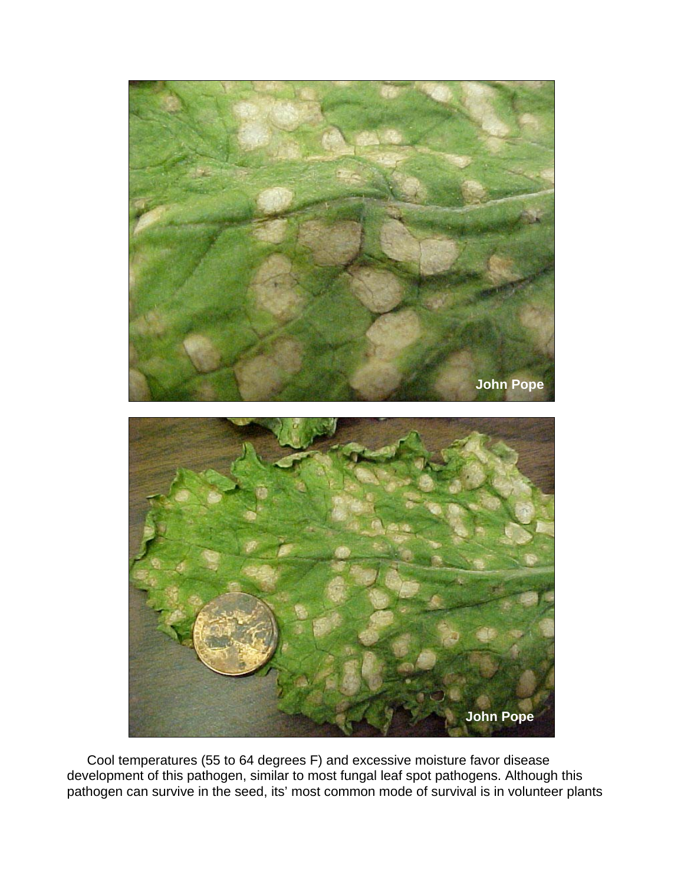

Cool temperatures (55 to 64 degrees F) and excessive moisture favor disease development of this pathogen, similar to most fungal leaf spot pathogens. Although this pathogen can survive in the seed, its' most common mode of survival is in volunteer plants